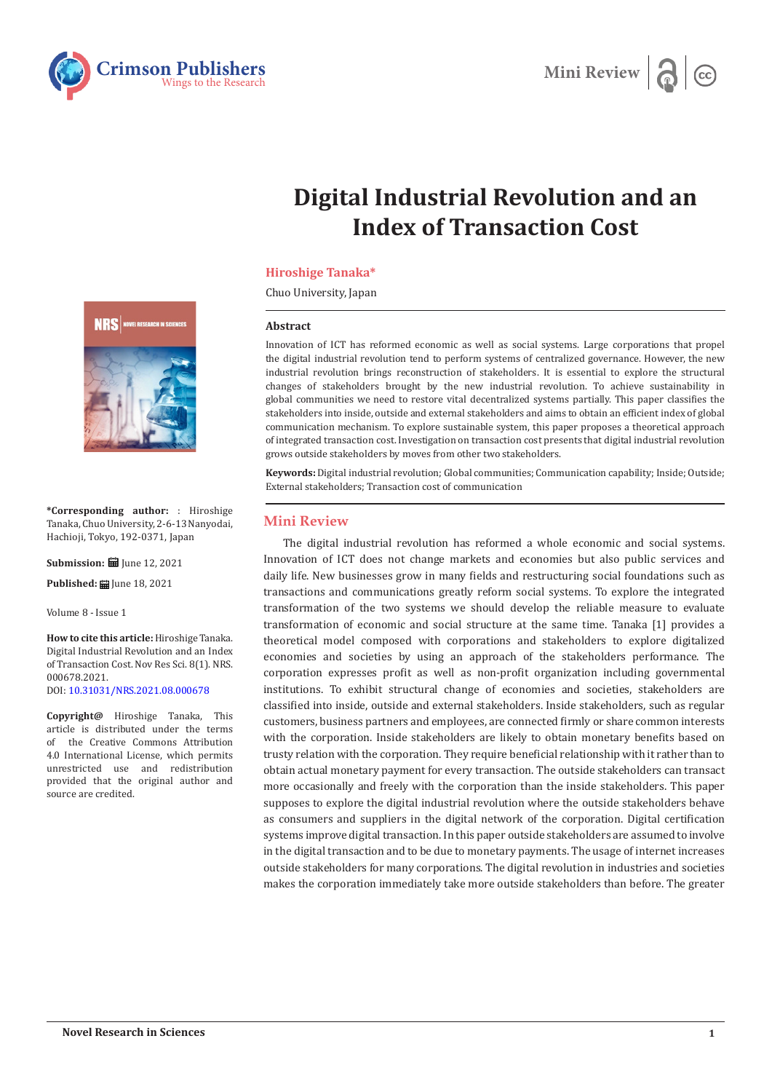



# **Digital Industrial Revolution and an Index of Transaction Cost**

## **Hiroshige Tanaka\***

Chuo University, Japan

#### **Abstract**

Innovation of ICT has reformed economic as well as social systems. Large corporations that propel the digital industrial revolution tend to perform systems of centralized governance. However, the new industrial revolution brings reconstruction of stakeholders. It is essential to explore the structural changes of stakeholders brought by the new industrial revolution. To achieve sustainability in global communities we need to restore vital decentralized systems partially. This paper classifies the stakeholders into inside, outside and external stakeholders and aims to obtain an efficient index of global communication mechanism. To explore sustainable system, this paper proposes a theoretical approach of integrated transaction cost. Investigation on transaction cost presents that digital industrial revolution grows outside stakeholders by moves from other two stakeholders.

**Keywords:** Digital industrial revolution; Global communities; Communication capability; Inside; Outside; External stakeholders; Transaction cost of communication

## **Mini Review**

The digital industrial revolution has reformed a whole economic and social systems. Innovation of ICT does not change markets and economies but also public services and daily life. New businesses grow in many fields and restructuring social foundations such as transactions and communications greatly reform social systems. To explore the integrated transformation of the two systems we should develop the reliable measure to evaluate transformation of economic and social structure at the same time. Tanaka [1] provides a theoretical model composed with corporations and stakeholders to explore digitalized economies and societies by using an approach of the stakeholders performance. The corporation expresses profit as well as non-profit organization including governmental institutions. To exhibit structural change of economies and societies, stakeholders are classified into inside, outside and external stakeholders. Inside stakeholders, such as regular customers, business partners and employees, are connected firmly or share common interests with the corporation. Inside stakeholders are likely to obtain monetary benefits based on trusty relation with the corporation. They require beneficial relationship with it rather than to obtain actual monetary payment for every transaction. The outside stakeholders can transact more occasionally and freely with the corporation than the inside stakeholders. This paper supposes to explore the digital industrial revolution where the outside stakeholders behave as consumers and suppliers in the digital network of the corporation. Digital certification systems improve digital transaction. In this paper outside stakeholders are assumed to involve in the digital transaction and to be due to monetary payments. The usage of internet increases outside stakeholders for many corporations. The digital revolution in industries and societies makes the corporation immediately take more outside stakeholders than before. The greater



**\*Corresponding author:** : Hiroshige Tanaka, Chuo University, 2‑6‑13 Nanyodai, Hachioji, Tokyo, 192‑0371, Japan

**Submission: ■ June 12, 2021** 

Published: **■** June 18, 2021

Volume 8 - Issue 1

**How to cite this article:**Hiroshige Tanaka. Digital Industrial Revolution and an Index of Transaction Cost. Nov Res Sci. 8(1). NRS. 000678.2021. DOI: [10.31031/NRS.2021.08.000678](http://dx.doi.org/10.31031/NRS.2021.08.000678)

**Copyright@** Hiroshige Tanaka, This article is distributed under the terms the Creative Commons Attribution 4.0 International License, which permits unrestricted use and redistribution provided that the original author and source are credited.